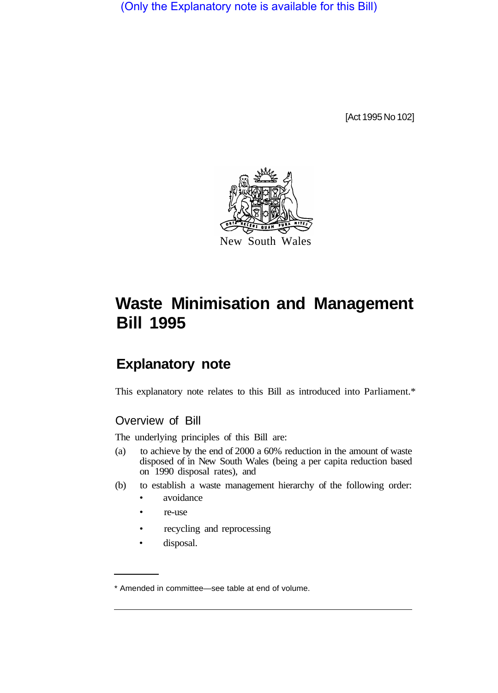(Only the Explanatory note is available for this Bill)

[Act 1995 No 102]



# **Waste Minimisation and Management Bill 1995**

# **Explanatory note**

This explanatory note relates to this Bill as introduced into Parliament.\*

# Overview of Bill

The underlying principles of this Bill are:

- (a) to achieve by the end of 2000 a 60% reduction in the amount of waste disposed of in New South Wales (being a per capita reduction based on 1990 disposal rates), and
- (b) to establish a waste management hierarchy of the following order:
	- avoidance
	- re-use
	- recycling and reprocessing
	- disposal.

<sup>\*</sup> Amended in committee—see table at end of volume.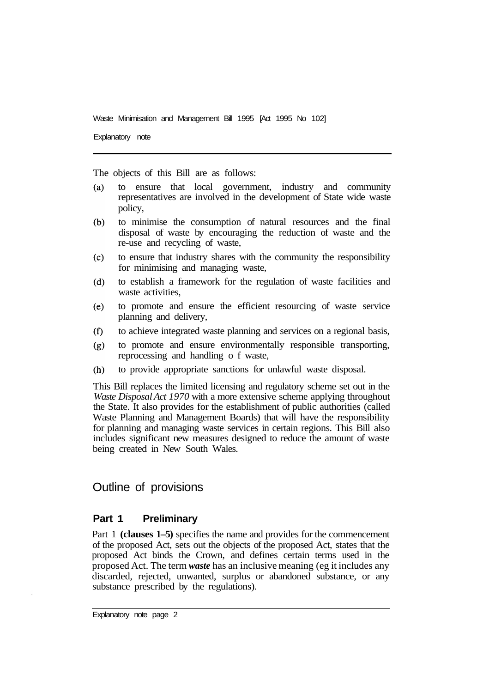Explanatory note

The objects of this Bill are as follows:

- to ensure that local government, industry and community  $(a)$ representatives are involved in the development of State wide waste policy,
- $(b)$ to minimise the consumption of natural resources and the final disposal of waste by encouraging the reduction of waste and the re-use and recycling of waste,
- to ensure that industry shares with the community the responsibility  $(c)$ for minimising and managing waste,
- $(d)$ to establish a framework for the regulation of waste facilities and waste activities.
- to promote and ensure the efficient resourcing of waste service  $(e)$ planning and delivery,
- $(f)$ to achieve integrated waste planning and services on a regional basis,
- to promote and ensure environmentally responsible transporting,  $(g)$ reprocessing and handling o f waste,
- to provide appropriate sanctions for unlawful waste disposal.  $(h)$

This Bill replaces the limited licensing and regulatory scheme set out in the *Waste Disposal Act 1970* with a more extensive scheme applying throughout the State. It also provides for the establishment of public authorities (called Waste Planning and Management Boards) that will have the responsibility for planning and managing waste services in certain regions. This Bill also includes significant new measures designed to reduce the amount of waste being created in New South Wales.

# Outline of provisions

#### **Part 1 Preliminary**

Part 1 **(clauses 1–5)** specifies the name and provides for the commencement of the proposed Act, sets out the objects of the proposed Act, states that the proposed Act binds the Crown, and defines certain terms used in the proposed Act. The term *waste* has an inclusive meaning (eg it includes any discarded, rejected, unwanted, surplus or abandoned substance, or any substance prescribed by the regulations).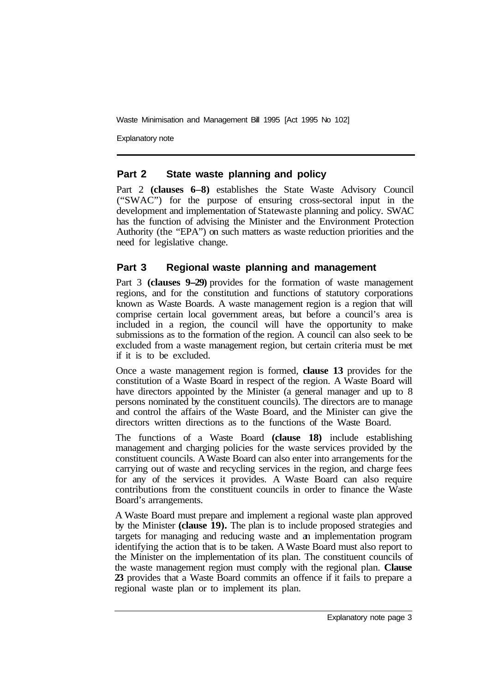Explanatory note

#### **Part 2 State waste planning and policy**

Part 2 **(clauses 6–8)** establishes the State Waste Advisory Council ("SWAC") for the purpose of ensuring cross-sectoral input in the development and implementation of Statewaste planning and policy. SWAC has the function of advising the Minister and the Environment Protection Authority (the "EPA") on such matters as waste reduction priorities and the need for legislative change.

# **Part 3 Regional waste planning and management**

Part 3 **(clauses 9-29)** provides for the formation of waste management regions, and for the constitution and functions of statutory corporations known as Waste Boards. A waste management region is a region that will comprise certain local government areas, but before a council's area is included in a region, the council will have the opportunity to make submissions as to the formation of the region. A council can also seek to be excluded from a waste management region, but certain criteria must be met if it is to be excluded.

Once a waste management region is formed, **clause 13** provides for the constitution of a Waste Board in respect of the region. A Waste Board will have directors appointed by the Minister (a general manager and up to 8 persons nominated by the constituent councils). The directors are to manage and control the affairs of the Waste Board, and the Minister can give the directors written directions as to the functions of the Waste Board.

The functions of a Waste Board **(clause 18)** include establishing management and charging policies for the waste services provided by the constituent councils. A Waste Board can also enter into arrangements for the carrying out of waste and recycling services in the region, and charge fees for any of the services it provides. A Waste Board can also require contributions from the constituent councils in order to finance the Waste Board's arrangements.

A Waste Board must prepare and implement a regional waste plan approved by the Minister **(clause 19).** The plan is to include proposed strategies and targets for managing and reducing waste and an implementation program identifying the action that is to be taken. A Waste Board must also report to the Minister on the implementation of its plan. The constituent councils of the waste management region must comply with the regional plan. **Clause 23** provides that a Waste Board commits an offence if it fails to prepare a regional waste plan or to implement its plan.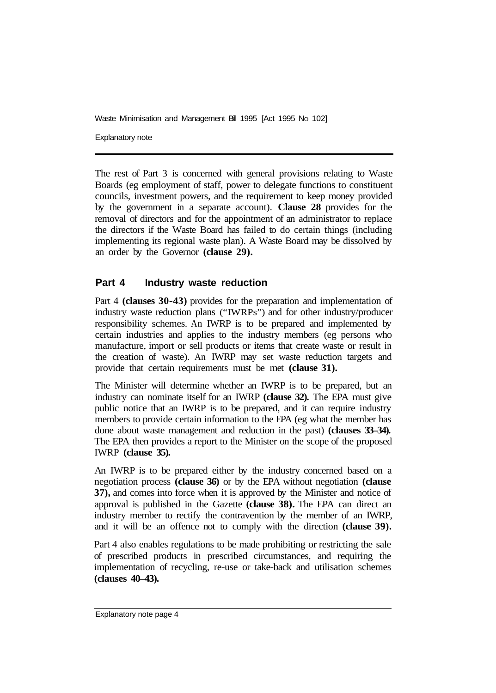Explanatory note

The rest of Part 3 is concerned with general provisions relating to Waste Boards (eg employment of staff, power to delegate functions to constituent councils, investment powers, and the requirement to keep money provided by the government in a separate account). **Clause 28** provides for the removal of directors and for the appointment of an administrator to replace the directors if the Waste Board has failed to do certain things (including implementing its regional waste plan). A Waste Board may be dissolved by an order by the Governor **(clause 29).** 

# **Part 4 Industry waste reduction**

Part 4 **(clauses 30-43)** provides for the preparation and implementation of industry waste reduction plans ("IWRPs") and for other industry/producer responsibility schemes. An IWRP is to be prepared and implemented by certain industries and applies to the industry members (eg persons who manufacture, import or sell products or items that create waste or result in the creation of waste). An IWRP may set waste reduction targets and provide that certain requirements must be met **(clause 31).** 

The Minister will determine whether an IWRP is to be prepared, but an industry can nominate itself for an IWRP **(clause 32).** The EPA must give public notice that an IWRP is to be prepared, and it can require industry members to provide certain information to the EPA (eg what the member has done about waste management and reduction in the past) **(clauses 33–34).**  The EPA then provides a report to the Minister on the scope of the proposed IWRP **(clause 35).** 

An IWRP is to be prepared either by the industry concerned based on a negotiation process **(clause 36)** or by the EPA without negotiation **(clause 37),** and comes into force when it is approved by the Minister and notice of approval is published in the Gazette **(clause 38).** The EPA can direct an industry member to rectify the contravention by the member of an IWRP, and it will be an offence not to comply with the direction **(clause 39).** 

Part 4 also enables regulations to be made prohibiting or restricting the sale of prescribed products in prescribed circumstances, and requiring the implementation of recycling, re-use or take-back and utilisation schemes **(clauses 40–43).**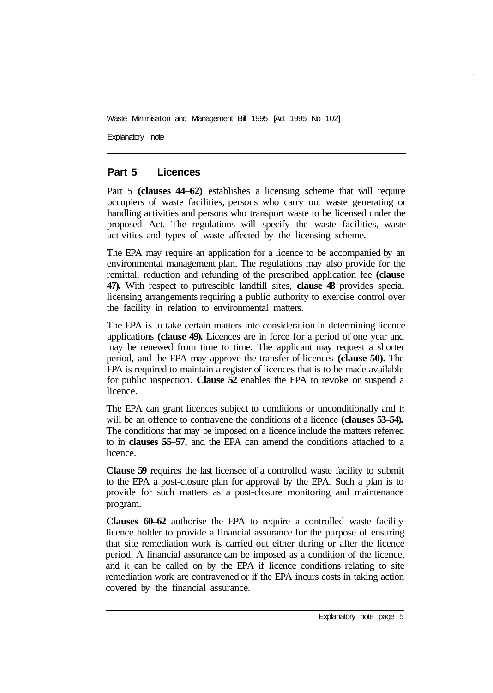Explanatory note

## **Part 5 Licences**

Part 5 **(clauses 44–62)** establishes a licensing scheme that will require occupiers of waste facilities, persons who carry out waste generating or handling activities and persons who transport waste to be licensed under the proposed Act. The regulations will specify the waste facilities, waste activities and types of waste affected by the licensing scheme.

The EPA may require an application for a licence to be accompanied by an environmental management plan. The regulations may also provide for the remittal, reduction and refunding of the prescribed application fee **(clause 47).** With respect to putrescible landfill sites, **clause 48** provides special licensing arrangements requiring a public authority to exercise control over the facility in relation to environmental matters.

The EPA is to take certain matters into consideration in determining licence applications **(clause 49).** Licences are in force for a period of one year and may be renewed from time to time. The applicant may request a shorter period, and the EPA may approve the transfer of licences **(clause 50).** The EPA is required to maintain a register of licences that is to be made available for public inspection. **Clause 52** enables the EPA to revoke or suspend a licence.

The EPA can grant licences subject to conditions or unconditionally and it will be an offence to contravene the conditions of a licence **(clauses 53–54).** The conditions that may be imposed on a licence include the matters referred to in **clauses 55–57,** and the EPA can amend the conditions attached to a licence.

**Clause 59** requires the last licensee of a controlled waste facility to submit to the EPA a post-closure plan for approval by the EPA. Such a plan is to provide for such matters as a post-closure monitoring and maintenance program.

**Clauses 60–62** authorise the EPA to require a controlled waste facility licence holder to provide a financial assurance for the purpose of ensuring that site remediation work is carried out either during or after the licence period. A financial assurance can be imposed as a condition of the licence, and it can be called on by the EPA if licence conditions relating to site remediation work are contravened or if the EPA incurs costs in taking action covered by the financial assurance.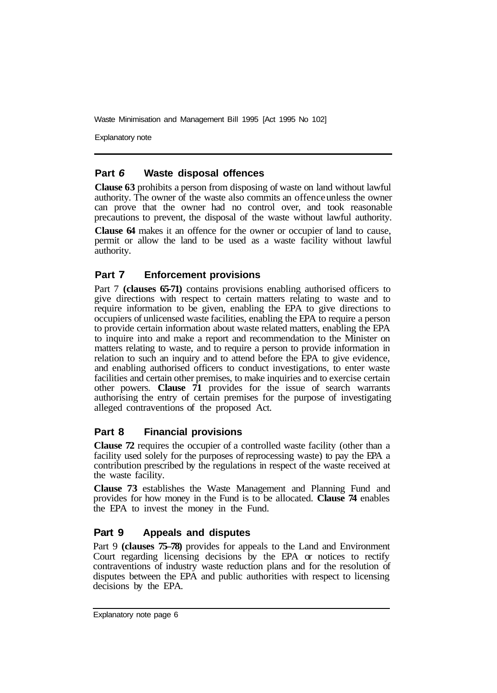Explanatory note

#### **Part** *6* **Waste disposal offences**

**Clause 63** prohibits a person from disposing of waste on land without lawful authority. The owner of the waste also commits an offence unless the owner can prove that the owner had no control over, and took reasonable precautions to prevent, the disposal of the waste without lawful authority.

**Clause 64** makes it an offence for the owner or occupier of land to cause, permit or allow the land to be used as a waste facility without lawful authority.

# **Part 7 Enforcement provisions**

Part 7 **(clauses 65-71)** contains provisions enabling authorised officers to give directions with respect to certain matters relating to waste and to require information to be given, enabling the EPA to give directions to occupiers of unlicensed waste facilities, enabling the EPA to require a person to provide certain information about waste related matters, enabling the EPA to inquire into and make a report and recommendation to the Minister on matters relating to waste, and to require a person to provide information in relation to such an inquiry and to attend before the EPA to give evidence, and enabling authorised officers to conduct investigations, to enter waste facilities and certain other premises, to make inquiries and to exercise certain other powers. **Clause 71** provides for the issue of search warrants authorising the entry of certain premises for the purpose of investigating alleged contraventions of the proposed Act.

## **Part 8 Financial provisions**

**Clause 72** requires the occupier of a controlled waste facility (other than a facility used solely for the purposes of reprocessing waste) to pay the EPA a contribution prescribed by the regulations in respect of the waste received at the waste facility.

**Clause 73** establishes the Waste Management and Planning Fund and provides for how money in the Fund is to be allocated. **Clause 74** enables the EPA to invest the money in the Fund.

## **Part 9 Appeals and disputes**

Part 9 **(clauses 75–78)** provides for appeals to the Land and Environment Court regarding licensing decisions by the EPA or notices to rectify contraventions of industry waste reduction plans and for the resolution of disputes between the EPA and public authorities with respect to licensing decisions by the EPA.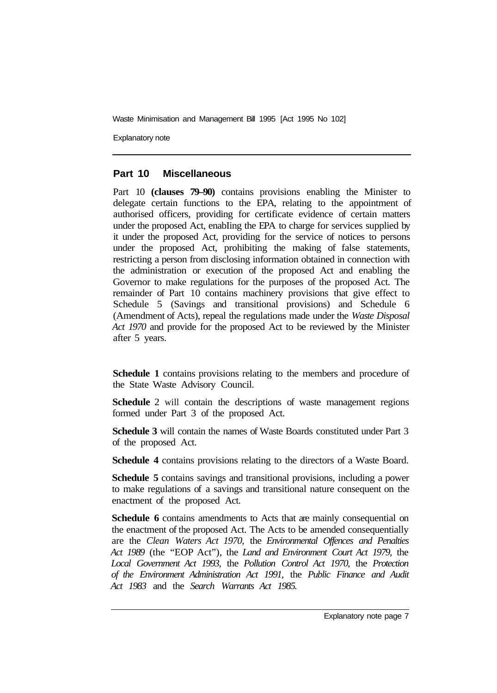Explanatory note

#### **Part 10 Miscellaneous**

Part 10 **(clauses 79–90)** contains provisions enabling the Minister to delegate certain functions to the EPA, relating to the appointment of authorised officers, providing for certificate evidence of certain matters under the proposed Act, enabIing the EPA to charge for services supplied by it under the proposed Act, providing for the service of notices to persons under the proposed Act, prohibiting the making of false statements, restricting a person from disclosing information obtained in connection with the administration or execution of the proposed Act and enabling the Governor to make regulations for the purposes of the proposed Act. The remainder of Part 10 contains machinery provisions that give effect to Schedule 5 (Savings and transitional provisions) and Schedule 6 (Amendment of Acts), repeal the regulations made under the *Waste Disposal Act 1970* and provide for the proposed Act to be reviewed by the Minister after 5 years.

**Schedule 1** contains provisions relating to the members and procedure of the State Waste Advisory Council.

**Schedule** 2 will contain the descriptions of waste management regions formed under Part 3 of the proposed Act.

**Schedule 3** will contain the names of Waste Boards constituted under Part 3 of the proposed Act.

**Schedule 4** contains provisions relating to the directors of a Waste Board.

**Schedule 5** contains savings and transitional provisions, including a power to make regulations of a savings and transitional nature consequent on the enactment of the proposed Act.

**Schedule 6** contains amendments to Acts that are mainly consequential on the enactment of the proposed Act. The Acts to be amended consequentially are the *Clean Waters Act 1970,* the *Environmental Offences and Penalties Act 1989* (the "EOP Act"), the *Land and Environment Court Act 1979,* the *Local Government Act 1993,* the *Pollution Control Act 1970,* the *Protection of the Environment Administration Act 1991,* the *Public Finance and Audit Act 1983* and the *Search Warrants Act 1985.*